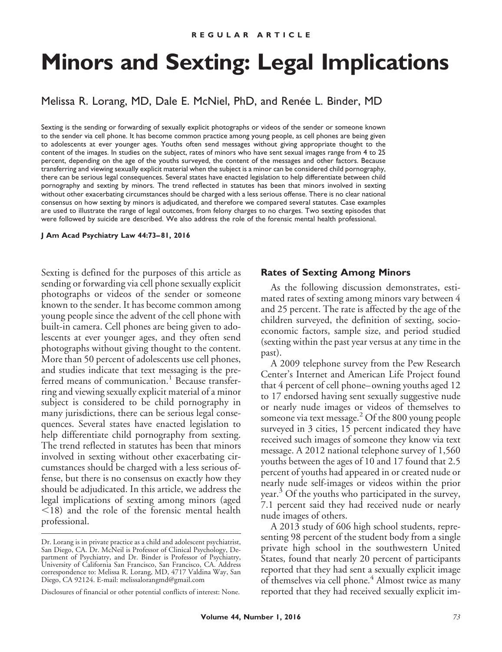# **Minors and Sexting: Legal Implications**

Melissa R. Lorang, MD, Dale E. McNiel, PhD, and Renée L. Binder, MD

Sexting is the sending or forwarding of sexually explicit photographs or videos of the sender or someone known to the sender via cell phone. It has become common practice among young people, as cell phones are being given to adolescents at ever younger ages. Youths often send messages without giving appropriate thought to the content of the images. In studies on the subject, rates of minors who have sent sexual images range from 4 to 25 percent, depending on the age of the youths surveyed, the content of the messages and other factors. Because transferring and viewing sexually explicit material when the subject is a minor can be considered child pornography, there can be serious legal consequences. Several states have enacted legislation to help differentiate between child pornography and sexting by minors. The trend reflected in statutes has been that minors involved in sexting without other exacerbating circumstances should be charged with a less serious offense. There is no clear national consensus on how sexting by minors is adjudicated, and therefore we compared several statutes. Case examples are used to illustrate the range of legal outcomes, from felony charges to no charges. Two sexting episodes that were followed by suicide are described. We also address the role of the forensic mental health professional.

**J Am Acad Psychiatry Law 44:73– 81, 2016**

Sexting is defined for the purposes of this article as sending or forwarding via cell phone sexually explicit photographs or videos of the sender or someone known to the sender. It has become common among young people since the advent of the cell phone with built-in camera. Cell phones are being given to adolescents at ever younger ages, and they often send photographs without giving thought to the content. More than 50 percent of adolescents use cell phones, and studies indicate that text messaging is the preferred means of communication.<sup>1</sup> Because transferring and viewing sexually explicit material of a minor subject is considered to be child pornography in many jurisdictions, there can be serious legal consequences. Several states have enacted legislation to help differentiate child pornography from sexting. The trend reflected in statutes has been that minors involved in sexting without other exacerbating circumstances should be charged with a less serious offense, but there is no consensus on exactly how they should be adjudicated. In this article, we address the legal implications of sexting among minors (aged -18) and the role of the forensic mental health professional.

#### **Rates of Sexting Among Minors**

As the following discussion demonstrates, estimated rates of sexting among minors vary between 4 and 25 percent. The rate is affected by the age of the children surveyed, the definition of sexting, socioeconomic factors, sample size, and period studied (sexting within the past year versus at any time in the past).

A 2009 telephone survey from the Pew Research Center's Internet and American Life Project found that 4 percent of cell phone–owning youths aged 12 to 17 endorsed having sent sexually suggestive nude or nearly nude images or videos of themselves to someone via text message.<sup>2</sup> Of the 800 young people surveyed in 3 cities, 15 percent indicated they have received such images of someone they know via text message. A 2012 national telephone survey of 1,560 youths between the ages of 10 and 17 found that 2.5 percent of youths had appeared in or created nude or nearly nude self-images or videos within the prior year.<sup>3</sup> Of the youths who participated in the survey, 7.1 percent said they had received nude or nearly nude images of others.

A 2013 study of 606 high school students, representing 98 percent of the student body from a single private high school in the southwestern United States, found that nearly 20 percent of participants reported that they had sent a sexually explicit image of themselves via cell phone.<sup>4</sup> Almost twice as many reported that they had received sexually explicit im-

Dr. Lorang is in private practice as a child and adolescent psychiatrist, San Diego, CA. Dr. McNeil is Professor of Clinical Psychology, Department of Psychiatry, and Dr. Binder is Professor of Psychiatry, University of California San Francisco, San Francisco, CA. Address correspondence to: Melissa R. Lorang, MD, 4717 Valdina Way, San Diego, CA 92124. E-mail: melissalorangmd@gmail.com

Disclosures of financial or other potential conflicts of interest: None.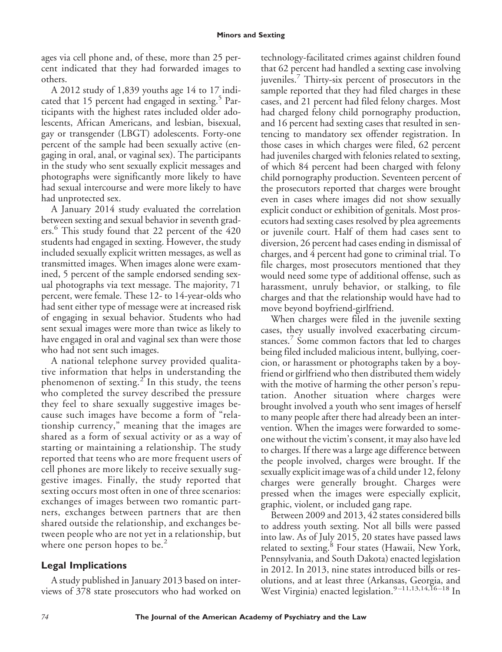ages via cell phone and, of these, more than 25 percent indicated that they had forwarded images to others.

A 2012 study of 1,839 youths age 14 to 17 indicated that 15 percent had engaged in sexting. $5$  Participants with the highest rates included older adolescents, African Americans, and lesbian, bisexual, gay or transgender (LBGT) adolescents. Forty-one percent of the sample had been sexually active (engaging in oral, anal, or vaginal sex). The participants in the study who sent sexually explicit messages and photographs were significantly more likely to have had sexual intercourse and were more likely to have had unprotected sex.

A January 2014 study evaluated the correlation between sexting and sexual behavior in seventh graders.<sup>6</sup> This study found that 22 percent of the 420 students had engaged in sexting. However, the study included sexually explicit written messages, as well as transmitted images. When images alone were examined, 5 percent of the sample endorsed sending sexual photographs via text message. The majority, 71 percent, were female. These 12- to 14-year-olds who had sent either type of message were at increased risk of engaging in sexual behavior. Students who had sent sexual images were more than twice as likely to have engaged in oral and vaginal sex than were those who had not sent such images.

A national telephone survey provided qualitative information that helps in understanding the phenomenon of sexting.<sup>2</sup> In this study, the teens who completed the survey described the pressure they feel to share sexually suggestive images because such images have become a form of "relationship currency," meaning that the images are shared as a form of sexual activity or as a way of starting or maintaining a relationship. The study reported that teens who are more frequent users of cell phones are more likely to receive sexually suggestive images. Finally, the study reported that sexting occurs most often in one of three scenarios: exchanges of images between two romantic partners, exchanges between partners that are then shared outside the relationship, and exchanges between people who are not yet in a relationship, but where one person hopes to be. $\sim$ 

# **Legal Implications**

A study published in January 2013 based on interviews of 378 state prosecutors who had worked on technology-facilitated crimes against children found that 62 percent had handled a sexting case involving juveniles.<sup>7</sup> Thirty-six percent of prosecutors in the sample reported that they had filed charges in these cases, and 21 percent had filed felony charges. Most had charged felony child pornography production, and 16 percent had sexting cases that resulted in sentencing to mandatory sex offender registration. In those cases in which charges were filed, 62 percent had juveniles charged with felonies related to sexting, of which 84 percent had been charged with felony child pornography production. Seventeen percent of the prosecutors reported that charges were brought even in cases where images did not show sexually explicit conduct or exhibition of genitals. Most prosecutors had sexting cases resolved by plea agreements or juvenile court. Half of them had cases sent to diversion, 26 percent had cases ending in dismissal of charges, and 4 percent had gone to criminal trial. To file charges, most prosecutors mentioned that they would need some type of additional offense, such as harassment, unruly behavior, or stalking, to file charges and that the relationship would have had to move beyond boyfriend-girlfriend.

When charges were filed in the juvenile sexting cases, they usually involved exacerbating circumstances.<sup>7</sup> Some common factors that led to charges being filed included malicious intent, bullying, coercion, or harassment or photographs taken by a boyfriend or girlfriend who then distributed them widely with the motive of harming the other person's reputation. Another situation where charges were brought involved a youth who sent images of herself to many people after there had already been an intervention. When the images were forwarded to someone without the victim's consent, it may also have led to charges. If there was a large age difference between the people involved, charges were brought. If the sexually explicit image was of a child under 12, felony charges were generally brought. Charges were pressed when the images were especially explicit, graphic, violent, or included gang rape.

Between 2009 and 2013, 42 states considered bills to address youth sexting. Not all bills were passed into law. As of July 2015, 20 states have passed laws related to sexting.<sup>8</sup> Four states (Hawaii, New York, Pennsylvania, and South Dakota) enacted legislation in 2012. In 2013, nine states introduced bills or resolutions, and at least three (Arkansas, Georgia, and West Virginia) enacted legislation.<sup>9-11,13,14,16-18</sup> In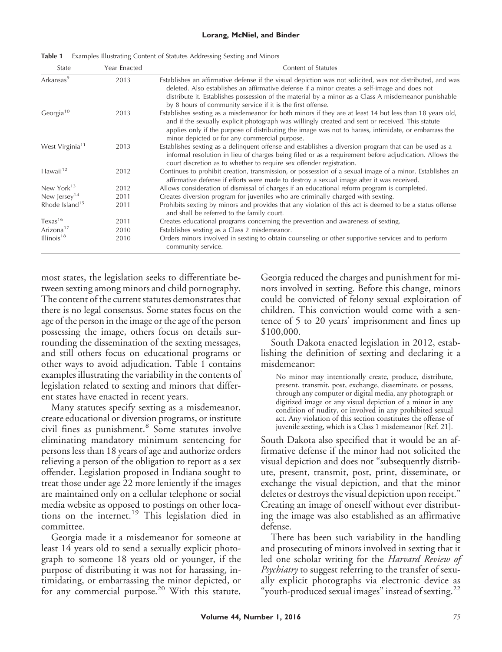#### **Lorang, McNiel, and Binder**

| State                       | Year Enacted | Content of Statutes                                                                                                                                                                                                                                                                                                                                                                |
|-----------------------------|--------------|------------------------------------------------------------------------------------------------------------------------------------------------------------------------------------------------------------------------------------------------------------------------------------------------------------------------------------------------------------------------------------|
| Arkansas <sup>9</sup>       | 2013         | Establishes an affirmative defense if the visual depiction was not solicited, was not distributed, and was<br>deleted. Also establishes an affirmative defense if a minor creates a self-image and does not<br>distribute it. Establishes possession of the material by a minor as a Class A misdemeanor punishable<br>by 8 hours of community service if it is the first offense. |
| Georgia <sup>10</sup>       | 2013         | Establishes sexting as a misdemeanor for both minors if they are at least 14 but less than 18 years old,<br>and if the sexually explicit photograph was willingly created and sent or received. This statute<br>applies only if the purpose of distributing the image was not to harass, intimidate, or embarrass the<br>minor depicted or for any commercial purpose.             |
| West Virginia <sup>11</sup> | 2013         | Establishes sexting as a delinquent offense and establishes a diversion program that can be used as a<br>informal resolution in lieu of charges being filed or as a requirement before adjudication. Allows the<br>court discretion as to whether to require sex offender registration.                                                                                            |
| Hawaii <sup>12</sup>        | 2012         | Continues to prohibit creation, transmission, or possession of a sexual image of a minor. Establishes an<br>affirmative defense if efforts were made to destroy a sexual image after it was received.                                                                                                                                                                              |
| New York $13$               | 2012         | Allows consideration of dismissal of charges if an educational reform program is completed.                                                                                                                                                                                                                                                                                        |
| New Jersey <sup>14</sup>    | 2011         | Creates diversion program for juveniles who are criminally charged with sexting.                                                                                                                                                                                                                                                                                                   |
| Rhode Island <sup>15</sup>  | 2011         | Prohibits sexting by minors and provides that any violation of this act is deemed to be a status offense<br>and shall be referred to the family court.                                                                                                                                                                                                                             |
| Texas <sup>16</sup>         | 2011         | Creates educational programs concerning the prevention and awareness of sexting.                                                                                                                                                                                                                                                                                                   |
| Arizona <sup>17</sup>       | 2010         | Establishes sexting as a Class 2 misdemeanor.                                                                                                                                                                                                                                                                                                                                      |
| Illinois $18$               | 2010         | Orders minors involved in sexting to obtain counseling or other supportive services and to perform<br>community service.                                                                                                                                                                                                                                                           |

most states, the legislation seeks to differentiate between sexting among minors and child pornography. The content of the current statutes demonstrates that there is no legal consensus. Some states focus on the age of the person in the image or the age of the person possessing the image, others focus on details surrounding the dissemination of the sexting messages, and still others focus on educational programs or other ways to avoid adjudication. Table 1 contains examples illustrating the variability in the contents of legislation related to sexting and minors that different states have enacted in recent years.

Many statutes specify sexting as a misdemeanor, create educational or diversion programs, or institute civil fines as punishment.<sup>8</sup> Some statutes involve eliminating mandatory minimum sentencing for persons less than 18 years of age and authorize orders relieving a person of the obligation to report as a sex offender. Legislation proposed in Indiana sought to treat those under age 22 more leniently if the images are maintained only on a cellular telephone or social media website as opposed to postings on other locations on the internet.<sup>19</sup> This legislation died in committee.

Georgia made it a misdemeanor for someone at least 14 years old to send a sexually explicit photograph to someone 18 years old or younger, if the purpose of distributing it was not for harassing, intimidating, or embarrassing the minor depicted, or for any commercial purpose.<sup>20</sup> With this statute,

Georgia reduced the charges and punishment for minors involved in sexting. Before this change, minors could be convicted of felony sexual exploitation of children. This conviction would come with a sentence of 5 to 20 years' imprisonment and fines up \$100,000.

South Dakota enacted legislation in 2012, establishing the definition of sexting and declaring it a misdemeanor:

No minor may intentionally create, produce, distribute, present, transmit, post, exchange, disseminate, or possess, through any computer or digital media, any photograph or digitized image or any visual depiction of a minor in any condition of nudity, or involved in any prohibited sexual act. Any violation of this section constitutes the offense of juvenile sexting, which is a Class 1 misdemeanor [Ref. 21].

South Dakota also specified that it would be an affirmative defense if the minor had not solicited the visual depiction and does not "subsequently distribute, present, transmit, post, print, disseminate, or exchange the visual depiction, and that the minor deletes or destroys the visual depiction upon receipt." Creating an image of oneself without ever distributing the image was also established as an affirmative defense.

There has been such variability in the handling and prosecuting of minors involved in sexting that it led one scholar writing for the *Harvard Review of Psychiatry* to suggest referring to the transfer of sexually explicit photographs via electronic device as "youth-produced sexual images" instead of sexting. $^{22}$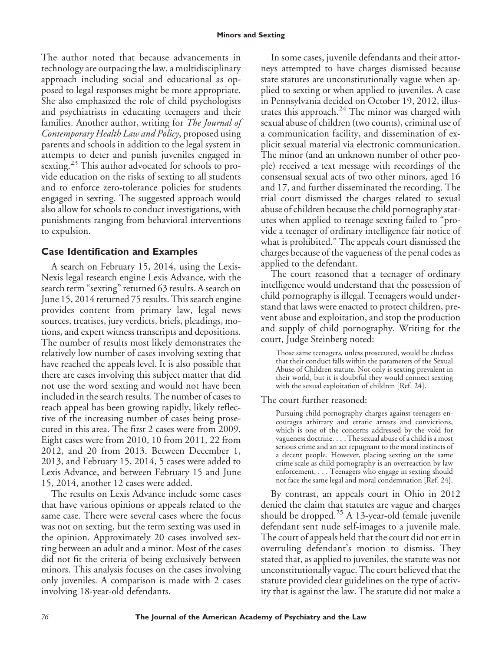The author noted that because advancements in technology are outpacing the law, a multidisciplinary approach including social and educational as opposed to legal responses might be more appropriate. She also emphasized the role of child psychologists and psychiatrists in educating teenagers and their families. Another author, writing for *The Journal of Contemporary Health Law and Policy*, proposed using parents and schools in addition to the legal system in attempts to deter and punish juveniles engaged in sexting.<sup>23</sup> This author advocated for schools to provide education on the risks of sexting to all students and to enforce zero-tolerance policies for students engaged in sexting. The suggested approach would also allow for schools to conduct investigations, with punishments ranging from behavioral interventions to expulsion.

## **Case Identification and Examples**

A search on February 15, 2014, using the Lexis-Nexis legal research engine Lexis Advance, with the search term "sexting" returned 63 results. A search on June 15, 2014 returned 75 results. This search engine provides content from primary law, legal news sources, treatises, jury verdicts, briefs, pleadings, motions, and expert witness transcripts and depositions. The number of results most likely demonstrates the relatively low number of cases involving sexting that have reached the appeals level. It is also possible that there are cases involving this subject matter that did not use the word sexting and would not have been included in the search results. The number of cases to reach appeal has been growing rapidly, likely reflective of the increasing number of cases being prosecuted in this area. The first 2 cases were from 2009. Eight cases were from 2010, 10 from 2011, 22 from 2012, and 20 from 2013. Between December 1, 2013, and February 15, 2014, 5 cases were added to Lexis Advance, and between February 15 and June 15, 2014, another 12 cases were added.

The results on Lexis Advance include some cases that have various opinions or appeals related to the same case. There were several cases where the focus was not on sexting, but the term sexting was used in the opinion. Approximately 20 cases involved sexting between an adult and a minor. Most of the cases did not fit the criteria of being exclusively between minors. This analysis focuses on the cases involving only juveniles. A comparison is made with 2 cases involving 18-year-old defendants.

In some cases, juvenile defendants and their attorneys attempted to have charges dismissed because state statutes are unconstitutionally vague when applied to sexting or when applied to juveniles. A case in Pennsylvania decided on October 19, 2012, illustrates this approach. $24$  The minor was charged with sexual abuse of children (two counts), criminal use of a communication facility, and dissemination of explicit sexual material via electronic communication. The minor (and an unknown number of other people) received a text message with recordings of the consensual sexual acts of two other minors, aged 16 and 17, and further disseminated the recording. The trial court dismissed the charges related to sexual abuse of children because the child pornography statutes when applied to teenage sexting failed to "provide a teenager of ordinary intelligence fair notice of what is prohibited." The appeals court dismissed the charges because of the vagueness of the penal codes as applied to the defendant.

The court reasoned that a teenager of ordinary intelligence would understand that the possession of child pornography is illegal. Teenagers would understand that laws were enacted to protect children, prevent abuse and exploitation, and stop the production and supply of child pornography. Writing for the court, Judge Steinberg noted:

Those same teenagers, unless prosecuted, would be clueless that their conduct falls within the parameters of the Sexual Abuse of Children statute. Not only is sexting prevalent in their world, but it is doubtful they would connect sexting with the sexual exploitation of children [Ref. 24].

The court further reasoned:

Pursuing child pornography charges against teenagers encourages arbitrary and erratic arrests and convictions, which is one of the concerns addressed by the void for vagueness doctrine. . . . The sexual abuse of a child is a most serious crime and an act repugnant to the moral instincts of a decent people. However, placing sexting on the same crime scale as child pornography is an overreaction by law enforcement.... Teenagers who engage in sexting should not face the same legal and moral condemnation [Ref. 24].

By contrast, an appeals court in Ohio in 2012 denied the claim that statutes are vague and charges should be dropped. $25$  A 13-year-old female juvenile defendant sent nude self-images to a juvenile male. The court of appeals held that the court did not err in overruling defendant's motion to dismiss. They stated that, as applied to juveniles, the statute was not unconstitutionally vague. The court believed that the statute provided clear guidelines on the type of activity that is against the law. The statute did not make a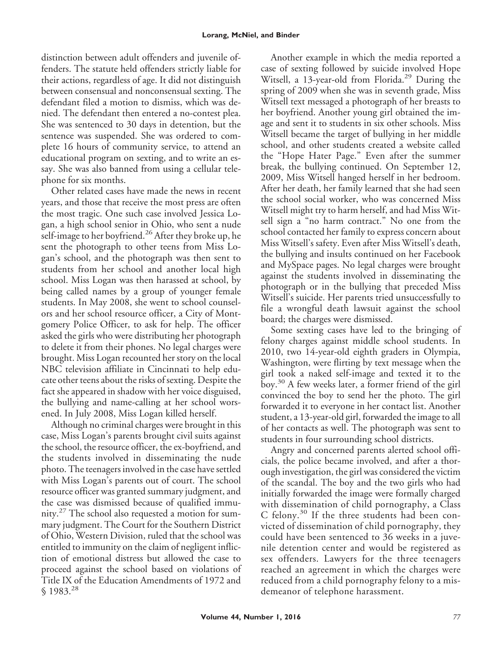distinction between adult offenders and juvenile offenders. The statute held offenders strictly liable for their actions, regardless of age. It did not distinguish between consensual and nonconsensual sexting. The defendant filed a motion to dismiss, which was denied. The defendant then entered a no-contest plea. She was sentenced to 30 days in detention, but the sentence was suspended. She was ordered to complete 16 hours of community service, to attend an educational program on sexting, and to write an essay. She was also banned from using a cellular telephone for six months.

Other related cases have made the news in recent years, and those that receive the most press are often the most tragic. One such case involved Jessica Logan, a high school senior in Ohio, who sent a nude self-image to her boyfriend.<sup>26</sup> After they broke up, he sent the photograph to other teens from Miss Logan's school, and the photograph was then sent to students from her school and another local high school. Miss Logan was then harassed at school, by being called names by a group of younger female students. In May 2008, she went to school counselors and her school resource officer, a City of Montgomery Police Officer, to ask for help. The officer asked the girls who were distributing her photograph to delete it from their phones. No legal charges were brought. Miss Logan recounted her story on the local NBC television affiliate in Cincinnati to help educate other teens about the risks of sexting. Despite the fact she appeared in shadow with her voice disguised, the bullying and name-calling at her school worsened. In July 2008, Miss Logan killed herself.

Although no criminal charges were brought in this case, Miss Logan's parents brought civil suits against the school, the resource officer, the ex-boyfriend, and the students involved in disseminating the nude photo. The teenagers involved in the case have settled with Miss Logan's parents out of court. The school resource officer was granted summary judgment, and the case was dismissed because of qualified immunity.<sup>27</sup> The school also requested a motion for summary judgment. The Court for the Southern District of Ohio, Western Division, ruled that the school was entitled to immunity on the claim of negligent infliction of emotional distress but allowed the case to proceed against the school based on violations of Title IX of the Education Amendments of 1972 and  $$1983.<sup>28</sup>$ 

Another example in which the media reported a case of sexting followed by suicide involved Hope Witsell, a 13-year-old from Florida.<sup>29</sup> During the spring of 2009 when she was in seventh grade, Miss Witsell text messaged a photograph of her breasts to her boyfriend. Another young girl obtained the image and sent it to students in six other schools. Miss Witsell became the target of bullying in her middle school, and other students created a website called the "Hope Hater Page." Even after the summer break, the bullying continued. On September 12, 2009, Miss Witsell hanged herself in her bedroom. After her death, her family learned that she had seen the school social worker, who was concerned Miss Witsell might try to harm herself, and had Miss Witsell sign a "no harm contract." No one from the school contacted her family to express concern about Miss Witsell's safety. Even after Miss Witsell's death, the bullying and insults continued on her Facebook and MySpace pages. No legal charges were brought against the students involved in disseminating the photograph or in the bullying that preceded Miss Witsell's suicide. Her parents tried unsuccessfully to file a wrongful death lawsuit against the school board; the charges were dismissed.

Some sexting cases have led to the bringing of felony charges against middle school students. In 2010, two 14-year-old eighth graders in Olympia, Washington, were flirting by text message when the girl took a naked self-image and texted it to the boy.<sup>30</sup> A few weeks later, a former friend of the girl convinced the boy to send her the photo. The girl forwarded it to everyone in her contact list. Another student, a 13-year-old girl, forwarded the image to all of her contacts as well. The photograph was sent to students in four surrounding school districts.

Angry and concerned parents alerted school officials, the police became involved, and after a thorough investigation, the girl was considered the victim of the scandal. The boy and the two girls who had initially forwarded the image were formally charged with dissemination of child pornography, a Class C felony.<sup>30</sup> If the three students had been convicted of dissemination of child pornography, they could have been sentenced to 36 weeks in a juvenile detention center and would be registered as sex offenders. Lawyers for the three teenagers reached an agreement in which the charges were reduced from a child pornography felony to a misdemeanor of telephone harassment.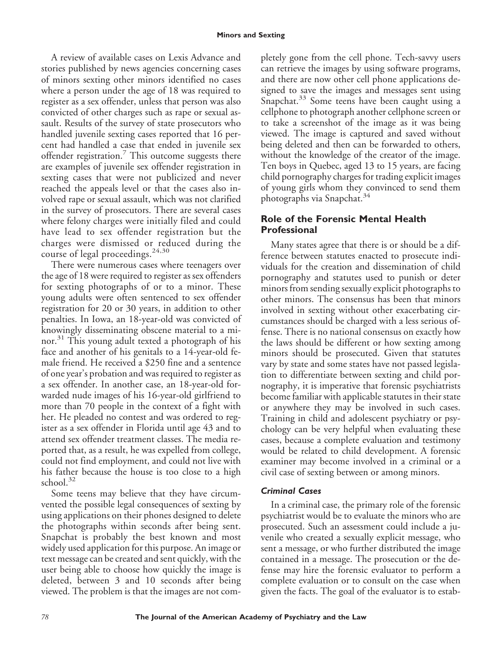A review of available cases on Lexis Advance and stories published by news agencies concerning cases of minors sexting other minors identified no cases where a person under the age of 18 was required to register as a sex offender, unless that person was also convicted of other charges such as rape or sexual assault. Results of the survey of state prosecutors who handled juvenile sexting cases reported that 16 percent had handled a case that ended in juvenile sex offender registration.<sup>7</sup> This outcome suggests there are examples of juvenile sex offender registration in sexting cases that were not publicized and never reached the appeals level or that the cases also involved rape or sexual assault, which was not clarified in the survey of prosecutors. There are several cases where felony charges were initially filed and could have lead to sex offender registration but the charges were dismissed or reduced during the course of legal proceedings.<sup>24,30</sup>

There were numerous cases where teenagers over the age of 18 were required to register as sex offenders for sexting photographs of or to a minor. These young adults were often sentenced to sex offender registration for 20 or 30 years, in addition to other penalties. In Iowa, an 18-year-old was convicted of knowingly disseminating obscene material to a minor.<sup>31</sup> This young adult texted a photograph of his face and another of his genitals to a 14-year-old female friend. He received a \$250 fine and a sentence of one year's probation and was required to register as a sex offender. In another case, an 18-year-old forwarded nude images of his 16-year-old girlfriend to more than 70 people in the context of a fight with her. He pleaded no contest and was ordered to register as a sex offender in Florida until age 43 and to attend sex offender treatment classes. The media reported that, as a result, he was expelled from college, could not find employment, and could not live with his father because the house is too close to a high school. $32$ 

Some teens may believe that they have circumvented the possible legal consequences of sexting by using applications on their phones designed to delete the photographs within seconds after being sent. Snapchat is probably the best known and most widely used application for this purpose. An image or text message can be created and sent quickly, with the user being able to choose how quickly the image is deleted, between 3 and 10 seconds after being viewed. The problem is that the images are not completely gone from the cell phone. Tech-savvy users can retrieve the images by using software programs, and there are now other cell phone applications designed to save the images and messages sent using Snapchat.<sup>33</sup> Some teens have been caught using a cellphone to photograph another cellphone screen or to take a screenshot of the image as it was being viewed. The image is captured and saved without being deleted and then can be forwarded to others, without the knowledge of the creator of the image. Ten boys in Quebec, aged 13 to 15 years, are facing child pornography charges for trading explicit images of young girls whom they convinced to send them photographs via Snapchat.<sup>34</sup>

# **Role of the Forensic Mental Health Professional**

Many states agree that there is or should be a difference between statutes enacted to prosecute individuals for the creation and dissemination of child pornography and statutes used to punish or deter minors from sending sexually explicit photographs to other minors. The consensus has been that minors involved in sexting without other exacerbating circumstances should be charged with a less serious offense. There is no national consensus on exactly how the laws should be different or how sexting among minors should be prosecuted. Given that statutes vary by state and some states have not passed legislation to differentiate between sexting and child pornography, it is imperative that forensic psychiatrists become familiar with applicable statutes in their state or anywhere they may be involved in such cases. Training in child and adolescent psychiatry or psychology can be very helpful when evaluating these cases, because a complete evaluation and testimony would be related to child development. A forensic examiner may become involved in a criminal or a civil case of sexting between or among minors.

## *Criminal Cases*

In a criminal case, the primary role of the forensic psychiatrist would be to evaluate the minors who are prosecuted. Such an assessment could include a juvenile who created a sexually explicit message, who sent a message, or who further distributed the image contained in a message. The prosecution or the defense may hire the forensic evaluator to perform a complete evaluation or to consult on the case when given the facts. The goal of the evaluator is to estab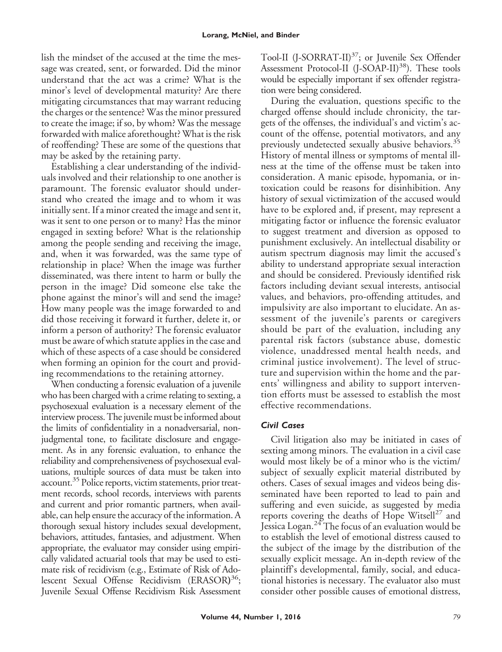lish the mindset of the accused at the time the message was created, sent, or forwarded. Did the minor understand that the act was a crime? What is the minor's level of developmental maturity? Are there mitigating circumstances that may warrant reducing the charges or the sentence? Was the minor pressured to create the image; if so, by whom? Was the message forwarded with malice aforethought? What is the risk of reoffending? These are some of the questions that may be asked by the retaining party.

Establishing a clear understanding of the individuals involved and their relationship to one another is paramount. The forensic evaluator should understand who created the image and to whom it was initially sent. If a minor created the image and sent it, was it sent to one person or to many? Has the minor engaged in sexting before? What is the relationship among the people sending and receiving the image, and, when it was forwarded, was the same type of relationship in place? When the image was further disseminated, was there intent to harm or bully the person in the image? Did someone else take the phone against the minor's will and send the image? How many people was the image forwarded to and did those receiving it forward it further, delete it, or inform a person of authority? The forensic evaluator must be aware of which statute applies in the case and which of these aspects of a case should be considered when forming an opinion for the court and providing recommendations to the retaining attorney.

When conducting a forensic evaluation of a juvenile who has been charged with a crime relating to sexting, a psychosexual evaluation is a necessary element of the interview process. The juvenile must be informed about the limits of confidentiality in a nonadversarial, nonjudgmental tone, to facilitate disclosure and engagement. As in any forensic evaluation, to enhance the reliability and comprehensiveness of psychosexual evaluations, multiple sources of data must be taken into account.<sup>35</sup> Police reports, victim statements, prior treatment records, school records, interviews with parents and current and prior romantic partners, when available, can help ensure the accuracy of the information. A thorough sexual history includes sexual development, behaviors, attitudes, fantasies, and adjustment. When appropriate, the evaluator may consider using empirically validated actuarial tools that may be used to estimate risk of recidivism (e.g., Estimate of Risk of Adolescent Sexual Offense Recidivism (ERASOR**)** 36; Juvenile Sexual Offense Recidivism Risk Assessment

Tool-II (J-SORRAT-II)<sup>37</sup>; or Juvenile Sex Offender Assessment Protocol-II (J-SOAP-II)<sup>38</sup>). These tools would be especially important if sex offender registration were being considered.

During the evaluation, questions specific to the charged offense should include chronicity, the targets of the offenses, the individual's and victim's account of the offense, potential motivators, and any previously undetected sexually abusive behaviors.<sup>35</sup> History of mental illness or symptoms of mental illness at the time of the offense must be taken into consideration. A manic episode, hypomania, or intoxication could be reasons for disinhibition. Any history of sexual victimization of the accused would have to be explored and, if present, may represent a mitigating factor or influence the forensic evaluator to suggest treatment and diversion as opposed to punishment exclusively. An intellectual disability or autism spectrum diagnosis may limit the accused's ability to understand appropriate sexual interaction and should be considered. Previously identified risk factors including deviant sexual interests, antisocial values, and behaviors, pro-offending attitudes, and impulsivity are also important to elucidate. An assessment of the juvenile's parents or caregivers should be part of the evaluation, including any parental risk factors (substance abuse, domestic violence, unaddressed mental health needs, and criminal justice involvement). The level of structure and supervision within the home and the parents' willingness and ability to support intervention efforts must be assessed to establish the most effective recommendations.

## *Civil Cases*

Civil litigation also may be initiated in cases of sexting among minors. The evaluation in a civil case would most likely be of a minor who is the victim/ subject of sexually explicit material distributed by others. Cases of sexual images and videos being disseminated have been reported to lead to pain and suffering and even suicide, as suggested by media reports covering the deaths of Hope Witsell<sup>27</sup> and Jessica Logan.<sup>24</sup> The focus of an evaluation would be to establish the level of emotional distress caused to the subject of the image by the distribution of the sexually explicit message. An in-depth review of the plaintiff's developmental, family, social, and educational histories is necessary. The evaluator also must consider other possible causes of emotional distress,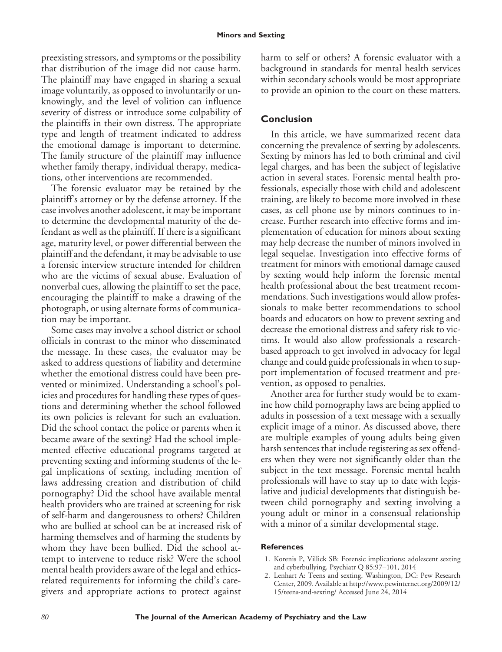preexisting stressors, and symptoms or the possibility that distribution of the image did not cause harm. The plaintiff may have engaged in sharing a sexual image voluntarily, as opposed to involuntarily or unknowingly, and the level of volition can influence severity of distress or introduce some culpability of the plaintiffs in their own distress. The appropriate type and length of treatment indicated to address the emotional damage is important to determine. The family structure of the plaintiff may influence whether family therapy, individual therapy, medications, other interventions are recommended.

The forensic evaluator may be retained by the plaintiff's attorney or by the defense attorney. If the case involves another adolescent, it may be important to determine the developmental maturity of the defendant as well as the plaintiff. If there is a significant age, maturity level, or power differential between the plaintiff and the defendant, it may be advisable to use a forensic interview structure intended for children who are the victims of sexual abuse. Evaluation of nonverbal cues, allowing the plaintiff to set the pace, encouraging the plaintiff to make a drawing of the photograph, or using alternate forms of communication may be important.

Some cases may involve a school district or school officials in contrast to the minor who disseminated the message. In these cases, the evaluator may be asked to address questions of liability and determine whether the emotional distress could have been prevented or minimized. Understanding a school's policies and procedures for handling these types of questions and determining whether the school followed its own policies is relevant for such an evaluation. Did the school contact the police or parents when it became aware of the sexting? Had the school implemented effective educational programs targeted at preventing sexting and informing students of the legal implications of sexting, including mention of laws addressing creation and distribution of child pornography? Did the school have available mental health providers who are trained at screening for risk of self-harm and dangerousness to others? Children who are bullied at school can be at increased risk of harming themselves and of harming the students by whom they have been bullied. Did the school attempt to intervene to reduce risk? Were the school mental health providers aware of the legal and ethicsrelated requirements for informing the child's caregivers and appropriate actions to protect against harm to self or others? A forensic evaluator with a background in standards for mental health services within secondary schools would be most appropriate to provide an opinion to the court on these matters.

## **Conclusion**

In this article, we have summarized recent data concerning the prevalence of sexting by adolescents. Sexting by minors has led to both criminal and civil legal charges, and has been the subject of legislative action in several states. Forensic mental health professionals, especially those with child and adolescent training, are likely to become more involved in these cases, as cell phone use by minors continues to increase. Further research into effective forms and implementation of education for minors about sexting may help decrease the number of minors involved in legal sequelae. Investigation into effective forms of treatment for minors with emotional damage caused by sexting would help inform the forensic mental health professional about the best treatment recommendations. Such investigations would allow professionals to make better recommendations to school boards and educators on how to prevent sexting and decrease the emotional distress and safety risk to victims. It would also allow professionals a researchbased approach to get involved in advocacy for legal change and could guide professionals in when to support implementation of focused treatment and prevention, as opposed to penalties.

Another area for further study would be to examine how child pornography laws are being applied to adults in possession of a text message with a sexually explicit image of a minor. As discussed above, there are multiple examples of young adults being given harsh sentences that include registering as sex offenders when they were not significantly older than the subject in the text message. Forensic mental health professionals will have to stay up to date with legislative and judicial developments that distinguish between child pornography and sexting involving a young adult or minor in a consensual relationship with a minor of a similar developmental stage.

#### **References**

- 1. Korenis P, Villick SB: Forensic implications: adolescent sexting and cyberbullying. Psychiatr Q 85:97–101, 2014
- 2. Lenhart A: Teens and sexting. Washington, DC: Pew Research Center, 2009. Available at [http://www.pewinternet.org/2009/12/](http://www.pewinternet.org/2009/12/15/teens-and-sexting/) [15/teens-and-sexting/](http://www.pewinternet.org/2009/12/15/teens-and-sexting/) Accessed June 24, 2014